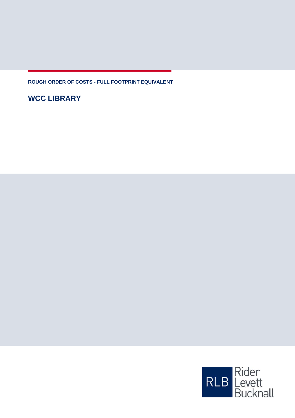**ROUGH ORDER OF COSTS - FULL FOOTPRINT EQUIVALENT**

**WCC LIBRARY**

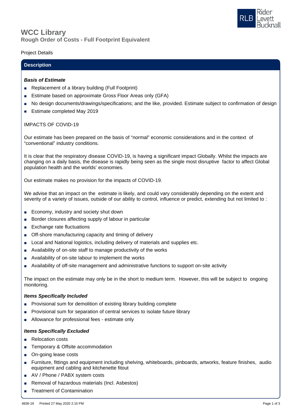

## **Rough Order of Costs - Full Footprint Equivalent WCC Library**

## Project Details

## **Description**

#### *Basis of Estimate*

- Replacement of a library building (Full Footprint)
- Estimate based on approximate Gross Floor Areas only (GFA)
- No design documents/drawings/specifications; and the like, provided. Estimate subject to confirmation of design
- **Estimate completed May 2019**

## IMPACTS OF COVID-19

Our estimate has been prepared on the basis of "normal" economic considerations and in the context of "conventional" industry conditions.

It is clear that the respiratory disease COVID-19, is having a significant impact Globally. Whilst the impacts are changing on a daily basis, the disease is rapidly being seen as the single most disruptive factor to affect Global population health and the worlds' economies.

Our estimate makes no provision for the impacts of COVID-19.

We advise that an impact on the estimate is likely, and could vary considerably depending on the extent and severity of a variety of issues, outside of our ability to control, influence or predict, extending but not limited to :

- Economy, industry and society shut down
- Border closures affecting supply of labour in particular
- Exchange rate fluctuations
- Off-shore manufacturing capacity and timing of delivery
- Local and National logistics, including delivery of materials and supplies etc.
- Availability of on-site staff to manage productivity of the works
- Availability of on-site labour to implement the works
- Availability of off-site management and administrative functions to support on-site activity

The impact on the estimate may only be in the short to medium term. However, this will be subject to ongoing monitoring.

#### *Items Specifically Included*

- Provisional sum for demolition of existing library building complete
- Provisional sum for separation of central services to isolate future library
- Allowance for professional fees estimate only

#### *Items Specifically Excluded*

- Relocation costs
- Temporary & Offsite accommodation
- On-going lease costs
- Furniture, fittings and equipment including shelving, whiteboards, pinboards, artworks, feature finishes, audio equipment and cabling and kitchenette fitout
- AV / Phone / PABX system costs
- Removal of hazardous materials (Incl. Asbestos)
- **Treatment of Contamination**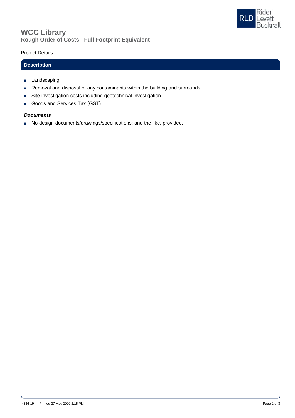

# **Rough Order of Costs - Full Footprint Equivalent WCC Library**

## Project Details

# **Description**

- Landscaping
- Removal and disposal of any contaminants within the building and surrounds
- Site investigation costs including geotechnical investigation
- Goods and Services Tax (GST)

## *Documents*

■ No design documents/drawings/specifications; and the like, provided.